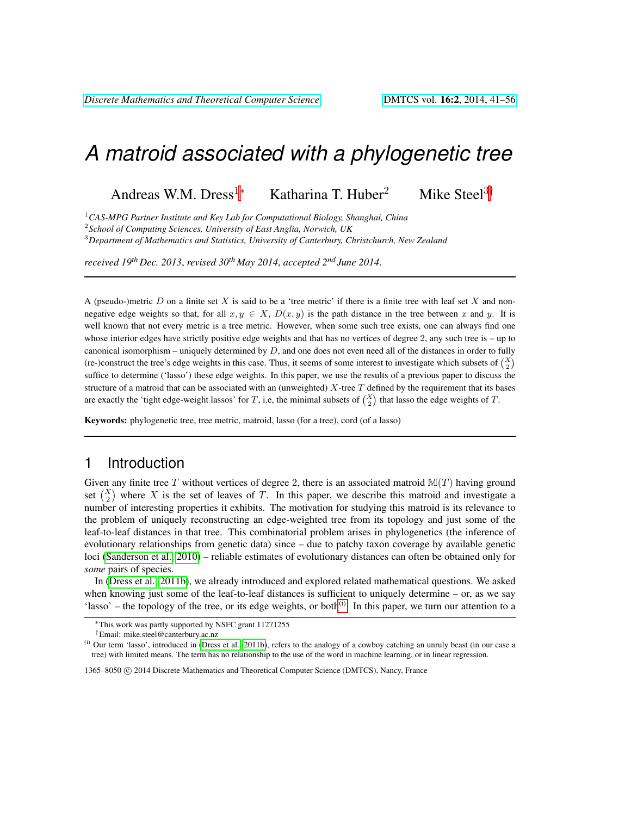# *A matroid associated with a phylogenetic tree*

Andreas W.M. Dress<sup>1∗</sup> Katharina T. Huber<sup>2</sup> Mike Steel<sup>3†</sup>

<sup>1</sup>*CAS-MPG Partner Institute and Key Lab for Computational Biology, Shanghai, China*

2 *School of Computing Sciences, University of East Anglia, Norwich, UK*

<sup>3</sup>*Department of Mathematics and Statistics, University of Canterbury, Christchurch, New Zealand*

*received 19th Dec. 2013*, *revised 30th May 2014*, *accepted 2nd June 2014*.

A (pseudo-)metric  $D$  on a finite set  $X$  is said to be a 'tree metric' if there is a finite tree with leaf set  $X$  and nonnegative edge weights so that, for all  $x, y \in X$ ,  $D(x, y)$  is the path distance in the tree between x and y. It is well known that not every metric is a tree metric. However, when some such tree exists, one can always find one whose interior edges have strictly positive edge weights and that has no vertices of degree 2, any such tree is – up to canonical isomorphism – uniquely determined by  $D$ , and one does not even need all of the distances in order to fully (re-)construct the tree's edge weights in this case. Thus, it seems of some interest to investigate which subsets of  $\binom{X}{2}$ suffice to determine ('lasso') these edge weights. In this paper, we use the results of a previous paper to discuss the structure of a matroid that can be associated with an (unweighted)  $X$ -tree  $T$  defined by the requirement that its bases are exactly the 'tight edge-weight lassos' for T, i.e, the minimal subsets of  $\binom{X}{2}$  that lasso the edge weights of T.

Keywords: phylogenetic tree, tree metric, matroid, lasso (for a tree), cord (of a lasso)

## 1 Introduction

Given any finite tree T without vertices of degree 2, there is an associated matroid  $\mathbb{M}(T)$  having ground set  $\binom{X}{2}$  where X is the set of leaves of T. In this paper, we describe this matroid and investigate a number of interesting properties it exhibits. The motivation for studying this matroid is its relevance to the problem of uniquely reconstructing an edge-weighted tree from its topology and just some of the leaf-to-leaf distances in that tree. This combinatorial problem arises in phylogenetics (the inference of evolutionary relationships from genetic data) since – due to patchy taxon coverage by available genetic loci [\(Sanderson et al., 2010\)](#page-14-0) – reliable estimates of evolutionary distances can often be obtained only for *some* pairs of species.

In [\(Dress et al., 2011b\)](#page-14-1), we already introduced and explored related mathematical questions. We asked when knowing just some of the leaf-to-leaf distances is sufficient to uniquely determine – or, as we say 'lasso' – the topology of the tree, or its edge weights, or both $^{(i)}$  $^{(i)}$  $^{(i)}$ . In this paper, we turn our attention to a

<sup>∗</sup>This work was partly supported by NSFC grant 11271255

<span id="page-0-0"></span><sup>†</sup>Email: mike.steel@canterbury.ac.nz

 $(i)$  Our term 'lasso', introduced in [\(Dress et al., 2011b\)](#page-14-1), refers to the analogy of a cowboy catching an unruly beast (in our case a tree) with limited means. The term has no relationship to the use of the word in machine learning, or in linear regression.

<sup>1365–8050 © 2014</sup> Discrete Mathematics and Theoretical Computer Science (DMTCS), Nancy, France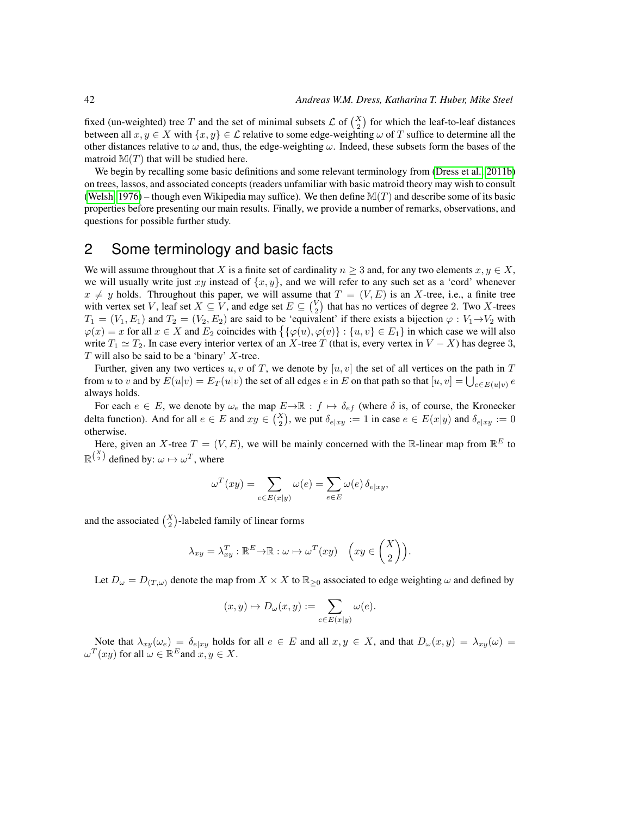fixed (un-weighted) tree T and the set of minimal subsets  $\mathcal{L}$  of  $\binom{X}{2}$  for which the leaf-to-leaf distances between all  $x, y \in X$  with  $\{x, y\} \in \mathcal{L}$  relative to some edge-weighting  $\omega$  of T suffice to determine all the other distances relative to  $\omega$  and, thus, the edge-weighting  $\omega$ . Indeed, these subsets form the bases of the matroid  $M(T)$  that will be studied here.

We begin by recalling some basic definitions and some relevant terminology from [\(Dress et al., 2011b\)](#page-14-1) on trees, lassos, and associated concepts (readers unfamiliar with basic matroid theory may wish to consult [\(Welsh, 1976\)](#page-14-2) – though even Wikipedia may suffice). We then define  $\mathbb{M}(T)$  and describe some of its basic properties before presenting our main results. Finally, we provide a number of remarks, observations, and questions for possible further study.

## 2 Some terminology and basic facts

We will assume throughout that X is a finite set of cardinality  $n \geq 3$  and, for any two elements  $x, y \in X$ , we will usually write just xy instead of  $\{x, y\}$ , and we will refer to any such set as a 'cord' whenever  $x \neq y$  holds. Throughout this paper, we will assume that  $T = (V, E)$  is an X-tree, i.e., a finite tree with vertex set V, leaf set  $X \subseteq V$ , and edge set  $E \subseteq {V \choose 2}$  that has no vertices of degree 2. Two X-trees  $T_1 = (V_1, E_1)$  and  $T_2 = (V_2, E_2)$  are said to be 'equivalent' if there exists a bijection  $\varphi : V_1 \rightarrow V_2$  with  $\varphi(x) = x$  for all  $x \in X$  and  $E_2$  coincides with  $\{\varphi(u), \varphi(v)\} : \{u, v\} \in E_1\}$  in which case we will also write  $T_1 \simeq T_2$ . In case every interior vertex of an X-tree T (that is, every vertex in  $V - X$ ) has degree 3,  $T$  will also be said to be a 'binary'  $X$ -tree.

Further, given any two vertices u, v of T, we denote by  $[u, v]$  the set of all vertices on the path in T from u to v and by  $E(u|v) = E_T(u|v)$  the set of all edges  $e$  in E on that path so that  $[u, v] = \bigcup_{e \in E(u|v)} e$ always holds.

For each  $e \in E$ , we denote by  $\omega_e$  the map  $E \to \mathbb{R}$  :  $f \mapsto \delta_{ef}$  (where  $\delta$  is, of course, the Kronecker delta function). And for all  $e \in E$  and  $xy \in {X \choose 2}$ , we put  $\delta_{e|xy} := 1$  in case  $e \in E(x|y)$  and  $\delta_{e|xy} := 0$ otherwise.

Here, given an X-tree  $T = (V, E)$ , we will be mainly concerned with the R-linear map from  $\mathbb{R}^E$  to  $\mathbb{R}^{\binom{X}{2}}$  defined by:  $\omega \mapsto \omega^T$ , where

$$
\omega^{T}(xy) = \sum_{e \in E(x|y)} \omega(e) = \sum_{e \in E} \omega(e) \, \delta_{e|xy},
$$

and the associated  $\binom{X}{2}$ -labeled family of linear forms

$$
\lambda_{xy} = \lambda_{xy}^T : \mathbb{R}^E \to \mathbb{R} : \omega \mapsto \omega^T(xy) \quad \left(xy \in \binom{X}{2}\right).
$$

Let  $D_{\omega} = D_{(T,\omega)}$  denote the map from  $X \times X$  to  $\mathbb{R}_{\geq 0}$  associated to edge weighting  $\omega$  and defined by

$$
(x,y)\mapsto D_{\omega}(x,y):=\sum_{e\in E(x|y)}\omega(e).
$$

Note that  $\lambda_{xy}(\omega_e) = \delta_{e|xy}$  holds for all  $e \in E$  and all  $x, y \in X$ , and that  $D_{\omega}(x, y) = \lambda_{xy}(\omega) =$  $\omega^T(xy)$  for all  $\omega \in \mathbb{R}^E$  and  $x, y \in X$ .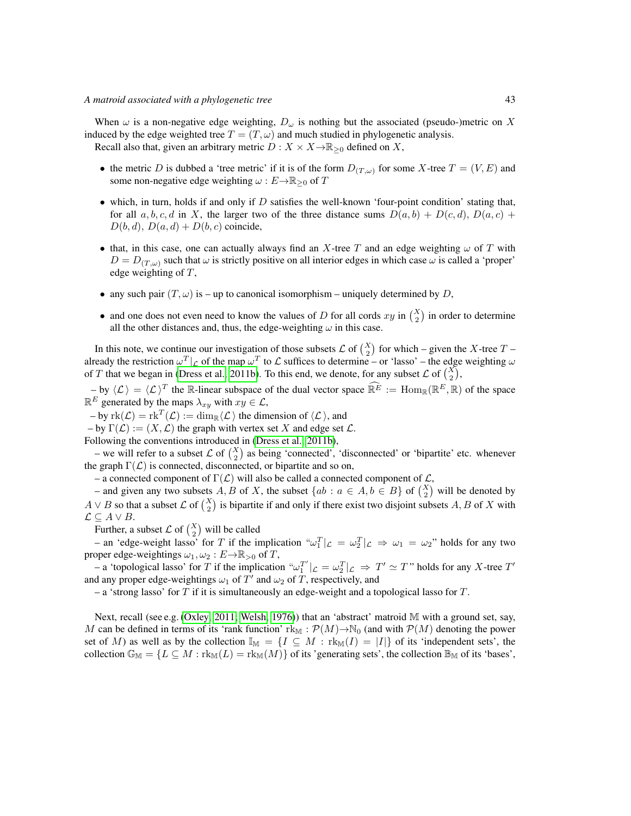When  $\omega$  is a non-negative edge weighting,  $D_{\omega}$  is nothing but the associated (pseudo-)metric on X induced by the edge weighted tree  $T = (T, \omega)$  and much studied in phylogenetic analysis. Recall also that, given an arbitrary metric  $D: X \times X \to \mathbb{R}_{\geq 0}$  defined on X,

- the metric D is dubbed a 'tree metric' if it is of the form  $D_{(T,\omega)}$  for some X-tree  $T = (V, E)$  and some non-negative edge weighting  $\omega : E \to \mathbb{R}_{\geq 0}$  of T
- which, in turn, holds if and only if  $D$  satisfies the well-known 'four-point condition' stating that, for all  $a, b, c, d$  in X, the larger two of the three distance sums  $D(a, b) + D(c, d), D(a, c)$  +  $D(b, d), D(a, d) + D(b, c)$  coincide,
- that, in this case, one can actually always find an X-tree T and an edge weighting  $\omega$  of T with  $D = D_{(T,\omega)}$  such that  $\omega$  is strictly positive on all interior edges in which case  $\omega$  is called a 'proper' edge weighting of T,
- any such pair  $(T, \omega)$  is up to canonical isomorphism uniquely determined by D,
- and one does not even need to know the values of D for all cords  $xy$  in  $\binom{X}{2}$  in order to determine all the other distances and, thus, the edge-weighting  $\omega$  in this case.

In this note, we continue our investigation of those subsets  $\mathcal{L}$  of  $\binom{X}{2}$  for which – given the X-tree  $T$  – already the restriction  $\omega^T |_{\mathcal{L}}$  of the map  $\omega^T$  to  $\mathcal{L}$  suffices to determine – or 'lasso' – the edge weighting  $\omega$ of T that we began in [\(Dress et al., 2011b\)](#page-14-1). To this end, we denote, for any subset  $\mathcal{L}$  of  $\binom{X}{2}$ ,

 $-\mathbf{b}$  by  $\langle \mathcal{L} \rangle = \langle \mathcal{L} \rangle^T$  the R-linear subspace of the dual vector space  $\widehat{\mathbb{R}^E} := \text{Hom}_{\mathbb{R}}(\mathbb{R}^E, \mathbb{R})$  of the space  $\mathbb{R}^E$  generated by the maps  $\lambda_{xy}$  with  $xy \in \mathcal{L}$ ,

 $-\text{ by } \text{rk}(\mathcal{L}) = \text{rk}^T(\mathcal{L}) := \dim_{\mathbb{R}} \langle \mathcal{L} \rangle$  the dimension of  $\langle \mathcal{L} \rangle$ , and

 $-$  by  $\Gamma(\mathcal{L}) := (X, \mathcal{L})$  the graph with vertex set X and edge set  $\mathcal{L}$ .

Following the conventions introduced in [\(Dress et al., 2011b\)](#page-14-1),

– we will refer to a subset  $\mathcal{L}$  of  $\binom{X}{2}$  as being 'connected', 'disconnected' or 'bipartite' etc. whenever the graph  $\Gamma(\mathcal{L})$  is connected, disconnected, or bipartite and so on,

– a connected component of  $\Gamma(\mathcal{L})$  will also be called a connected component of  $\mathcal{L}$ ,

– and given any two subsets  $A, B$  of X, the subset  $\{ab : a \in A, b \in B\}$  of  $\binom{X}{2}$  will be denoted by  $A \vee B$  so that a subset  $\mathcal L$  of  $\binom{X}{2}$  is bipartite if and only if there exist two disjoint subsets  $A, B$  of  $X$  with  $\mathcal{L} \subseteq A \vee B$ .

Further, a subset  $\mathcal{L}$  of  $\binom{X}{2}$  will be called

– an 'edge-weight lasso' for T if the implication " $\omega_1^T|_{\mathcal{L}} = \omega_2^T|_{\mathcal{L}} \Rightarrow \omega_1 = \omega_2$ " holds for any two proper edge-weightings  $\omega_1, \omega_2 : E \to \mathbb{R}_{>0}$  of T,

- a 'topological lasso' for T if the implication " $\omega_1^{T'}|_{\mathcal{L}} = \omega_2^T|_{\mathcal{L}} \Rightarrow T' \simeq T$ " holds for any X-tree T' and any proper edge-weightings  $\omega_1$  of  $T'$  and  $\omega_2$  of T, respectively, and

– a 'strong lasso' for T if it is simultaneously an edge-weight and a topological lasso for T.

Next, recall (see e.g. [\(Oxley, 2011;](#page-14-3) [Welsh, 1976\)](#page-14-2)) that an 'abstract' matroid M with a ground set, say, M can be defined in terms of its 'rank function' rk<sub>M</sub> :  $\mathcal{P}(M) \rightarrow \mathbb{N}_0$  (and with  $\mathcal{P}(M)$  denoting the power set of M) as well as by the collection  $\mathbb{I}_{\mathbb{M}} = \{I \subseteq M : \text{rk}_{\mathbb{M}}(I) = |I|\}$  of its 'independent sets', the collection  $\mathbb{G}_{\mathbb{M}} = \{L \subseteq M : \text{rk}_{\mathbb{M}}(L) = \text{rk}_{\mathbb{M}}(M)\}\$  of its 'generating sets', the collection  $\mathbb{B}_{\mathbb{M}}$  of its 'bases',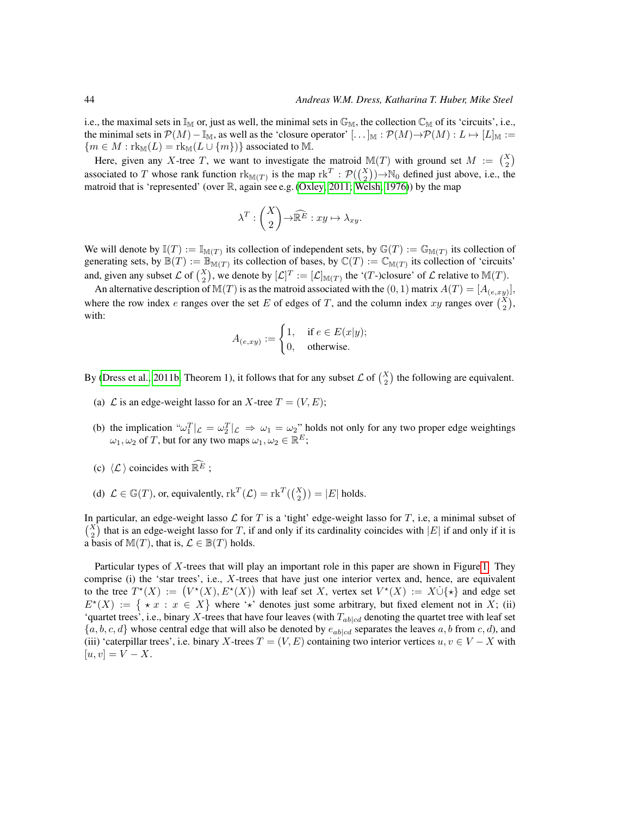i.e., the maximal sets in  $\mathbb{I}_{M}$  or, just as well, the minimal sets in  $\mathbb{G}_{M}$ , the collection  $\mathbb{C}_{M}$  of its 'circuits', i.e., the minimal sets in  $\mathcal{P}(M)-\mathbb{I}_{M}$ , as well as the 'closure operator'  $[\ldots]_{M} : \mathcal{P}(M) \to \mathcal{P}(M) : L \mapsto [L]_{M} :=$  ${m \in M : rk_\mathbb{M}(L) = rk_\mathbb{M}(L \cup \{m\})}$  associated to M.

Here, given any X-tree T, we want to investigate the matroid  $\mathbb{M}(T)$  with ground set  $M := \binom{X}{2}$ associated to T whose rank function  $\text{rk}_{\mathbb{M}(T)}$  is the map  $\text{rk}^T : \mathcal{P}(\binom{X}{2}) \rightarrow \mathbb{N}_0$  defined just above, i.e., the matroid that is 'represented' (over R, again see e.g. [\(Oxley, 2011;](#page-14-3) [Welsh, 1976\)](#page-14-2)) by the map

$$
\lambda^T: \binom{X}{2} \rightarrow \widehat{\mathbb{R}^E}: xy \mapsto \lambda_{xy}.
$$

We will denote by  $\mathbb{I}(T) := \mathbb{I}_{\mathbb{M}(T)}$  its collection of independent sets, by  $\mathbb{G}(T) := \mathbb{G}_{\mathbb{M}(T)}$  its collection of generating sets, by  $\mathbb{B}(T) := \mathbb{B}_{\mathbb{M}(T)}$  its collection of bases, by  $\mathbb{C}(T) := \mathbb{C}_{\mathbb{M}(T)}$  its collection of 'circuits' and, given any subset  $\mathcal L$  of  $\binom{X}{2}$ , we denote by  $[\mathcal L]^T := [\mathcal L]_{\mathbb M(T)}$  the '(T-)closure' of  $\mathcal L$  relative to  $\mathbb M(T)$ .

An alternative description of  $\mathbb{M}(T)$  is as the matroid associated with the  $(0, 1)$  matrix  $A(T) = [A_{(e, xy)}],$ where the row index e ranges over the set E of edges of T, and the column index xy ranges over  $\binom{X}{2}$ , with:

$$
A_{(e,xy)} := \begin{cases} 1, & \text{if } e \in E(x|y); \\ 0, & \text{otherwise.} \end{cases}
$$

By [\(Dress et al., 2011b,](#page-14-1) Theorem 1), it follows that for any subset  $\mathcal{L}$  of  $\binom{X}{2}$  the following are equivalent.

- (a)  $\mathcal L$  is an edge-weight lasso for an X-tree  $T = (V, E)$ ;
- (b) the implication " $\omega_1^T|_{\mathcal{L}} = \omega_2^T|_{\mathcal{L}} \Rightarrow \omega_1 = \omega_2^T$  holds not only for any two proper edge weightings  $\omega_1, \omega_2$  of T, but for any two maps  $\omega_1, \omega_2 \in \mathbb{R}^E$ ;
- (c)  $\langle \mathcal{L} \rangle$  coincides with  $\widehat{\mathbb{R}^E}$ ;
- (d)  $\mathcal{L} \in \mathbb{G}(T)$ , or, equivalently,  $\text{rk}^T(\mathcal{L}) = \text{rk}^T(\binom{X}{2}) = |E|$  holds.

In particular, an edge-weight lasso  $\mathcal L$  for T is a 'tight' edge-weight lasso for T, i.e, a minimal subset of  $\binom{X}{2}$  that is an edge-weight lasso for T, if and only if its cardinality coincides with |E| if and only if it is a basis of  $\mathbb{M}(T)$ , that is,  $\mathcal{L} \in \mathbb{B}(T)$  holds.

Particular types of X-trees that will play an important role in this paper are shown in Figure [1.](#page-4-0) They comprise (i) the 'star trees', i.e., X-trees that have just one interior vertex and, hence, are equivalent to the tree  $T^*(X) := (V^*(X), E^*(X))$  with leaf set X, vertex set  $V^*(X) := X \cup \{*\}$  and edge set  $E^*(X) := \{ \star x : x \in X \}$  where '\*' denotes just some arbitrary, but fixed element not in X; (ii) 'quartet trees', i.e., binary X-trees that have four leaves (with  $T_{ab|cd}$  denoting the quartet tree with leaf set  ${a, b, c, d}$  whose central edge that will also be denoted by  $e_{ab|cd}$  separates the leaves a, b from c, d), and (iii) 'caterpillar trees', i.e. binary X-trees  $T = (V, E)$  containing two interior vertices  $u, v \in V - X$  with  $[u, v] = V - X.$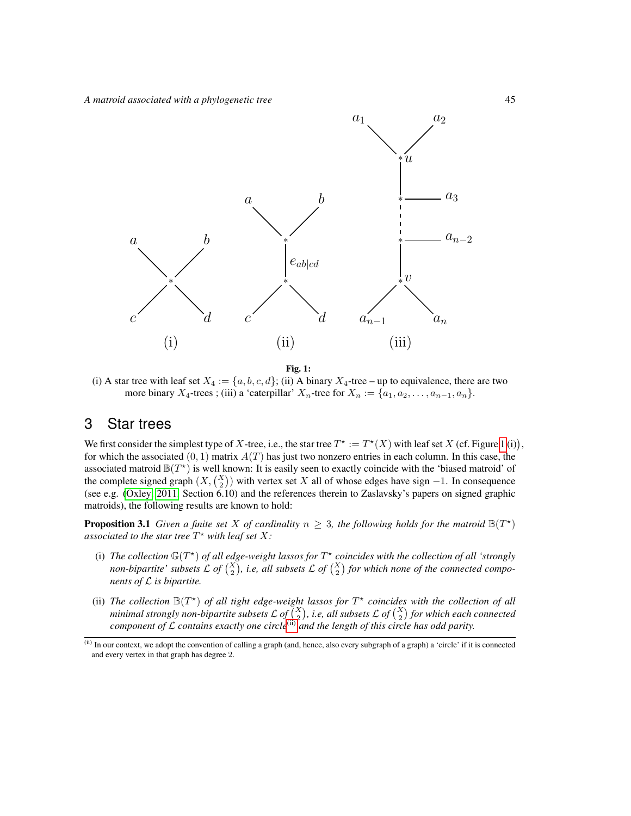

<span id="page-4-0"></span>Fig. 1:

(i) A star tree with leaf set  $X_4 := \{a, b, c, d\}$ ; (ii) A binary  $X_4$ -tree – up to equivalence, there are two more binary  $X_4$ -trees; (iii) a 'caterpillar'  $X_n$ -tree for  $X_n := \{a_1, a_2, \ldots, a_{n-1}, a_n\}.$ 

## 3 Star trees

We first consider the simplest type of X-tree, i.e., the star tree  $T^* := T^*(X)$  with leaf set X (cf. Figure [1](#page-4-0) (i)), for which the associated  $(0, 1)$  matrix  $A(T)$  has just two nonzero entries in each column. In this case, the associated matroid  $\mathbb{B}(T^*)$  is well known: It is easily seen to exactly coincide with the 'biased matroid' of the complete signed graph  $(X, \binom{X}{2})$  with vertex set X all of whose edges have sign -1. In consequence (see e.g. [\(Oxley, 2011,](#page-14-3) Section 6.10) and the references therein to Zaslavsky's papers on signed graphic matroids), the following results are known to hold:

<span id="page-4-2"></span>**Proposition 3.1** *Given a finite set* X *of cardinality*  $n \geq 3$ *, the following holds for the matroid*  $\mathbb{B}(T^*)$ *associated to the star tree*  $T^*$  *with leaf set*  $X$ *:* 

- (i) The collection  $\mathbb{G}(T^*)$  of all edge-weight lassos for  $T^*$  coincides with the collection of all 'strongly non-bipartite' subsets  $\mathcal{L}$  of  $\binom{X}{2}$ , i.e, all subsets  $\mathcal{L}$  of  $\binom{X}{2}$  for which none of the connected compo*nents of* L *is bipartite.*
- (ii) The collection  $\mathbb{B}(T^*)$  of all tight edge-weight lassos for  $T^*$  coincides with the collection of all *minimal strongly non-bipartite subsets*  $\mathcal{L}$  *of*  $\binom{X}{\cdot 2}$ *, i.e, all subsets*  $\mathcal{L}$  *of*  $\binom{X}{2}$  *for which each connected component of* <sup>L</sup> *contains exactly one circle*[\(ii\)](#page-4-1) *and the length of this circle has odd parity.*

<span id="page-4-1"></span><sup>(</sup>ii) In our context, we adopt the convention of calling a graph (and, hence, also every subgraph of a graph) a 'circle' if it is connected and every vertex in that graph has degree 2.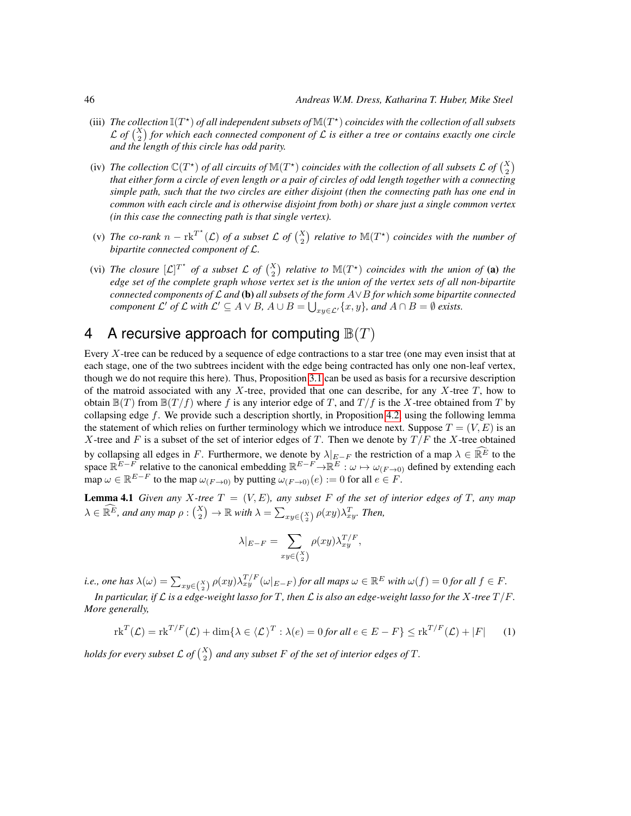- (iii) The collection  $\mathbb{I}(T^*)$  of all independent subsets of  $\mathbb{M}(T^*)$  coincides with the collection of all subsets L of  $\binom{X}{2}$  for which each connected component of L is either a tree or contains exactly one circle *and the length of this circle has odd parity.*
- (iv) The collection  $\mathbb{C}(T^*)$  of all circuits of  $\mathbb{M}(T^*)$  coincides with the collection of all subsets L of  $\binom{X}{2}$ *that either form a circle of even length or a pair of circles of odd length together with a connecting simple path, such that the two circles are either disjoint (then the connecting path has one end in common with each circle and is otherwise disjoint from both) or share just a single common vertex (in this case the connecting path is that single vertex).*
- (v) The co-rank  $n \text{rk}^{T^*}(\mathcal{L})$  of a subset  $\mathcal{L}$  of  $\binom{X}{2}$  relative to  $\mathbb{M}(T^*)$  coincides with the number of *bipartite connected component of* L*.*
- (vi) The closure  $[L]^{T^*}$  of a subset L of  $\binom{X}{2}$  relative to  $\mathbb{M}(T^*)$  coincides with the union of (a) the *edge set of the complete graph whose vertex set is the union of the vertex sets of all non-bipartite connected components of* L *and* (b) *all subsets of the form* A∨B *for which some bipartite connected component*  $\mathcal{L}'$  *of*  $\mathcal{L}$  *with*  $\mathcal{L}' \subseteq A \vee B$ *,*  $A \cup B = \bigcup_{xy \in \mathcal{L}'} \{x, y\}$ *, and*  $A \cap B = \emptyset$  *exists.*

# 4 A recursive approach for computing  $\mathbb{B}(T)$

Every X-tree can be reduced by a sequence of edge contractions to a star tree (one may even insist that at each stage, one of the two subtrees incident with the edge being contracted has only one non-leaf vertex, though we do not require this here). Thus, Proposition [3.1](#page-4-2) can be used as basis for a recursive description of the matroid associated with any  $X$ -tree, provided that one can describe, for any  $X$ -tree  $T$ , how to obtain  $\mathbb{B}(T)$  from  $\mathbb{B}(T/f)$  where f is any interior edge of T, and  $T/f$  is the X-tree obtained from T by collapsing edge f. We provide such a description shortly, in Proposition [4.2,](#page-6-0) using the following lemma the statement of which relies on further terminology which we introduce next. Suppose  $T = (V, E)$  is an X-tree and F is a subset of the set of interior edges of T. Then we denote by  $T/F$  the X-tree obtained by collapsing all edges in F. Furthermore, we denote by  $\lambda|_{E-F}$  the restriction of a map  $\lambda \in \widehat{\mathbb{R}^E}$  to the space  $\mathbb{R}^{E-F}$  relative to the canonical embedding  $\mathbb{R}^{E-F} \to \mathbb{R}^E : \omega \mapsto \omega_{(F \to 0)}$  defined by extending each map  $\omega \in \mathbb{R}^{E-F}$  to the map  $\omega_{(F\rightarrow 0)}$  by putting  $\omega_{(F\rightarrow 0)}(e) := 0$  for all  $e \in F$ .

<span id="page-5-0"></span>**Lemma 4.1** *Given any X*-tree  $T = (V, E)$ *, any subset* F *of the set of interior edges of* T*, any map*  $\lambda \in \widehat{\mathbb{R}^E}$ , and any map  $\rho : \binom{X}{2} \to \mathbb{R}$  with  $\lambda = \sum_{xy \in \binom{X}{2}} \rho(xy) \lambda_{xy}^T$ . Then,

$$
\lambda|_{E-F} = \sum_{xy \in \binom{X}{2}} \rho(xy) \lambda_{xy}^{T/F},
$$

*i.e., one has*  $\lambda(\omega) = \sum_{xy \in {X \choose 2}} \rho(xy) \lambda_{xy}^{T/F}(\omega|_{E-F})$  *for all maps*  $\omega \in \mathbb{R}^E$  *with*  $\omega(f) = 0$  *for all*  $f \in F$ *.* 

*In particular, if*  $\mathcal L$  *is a edge-weight lasso for*  $T$ *, then*  $\mathcal L$  *is also an edge-weight lasso for the*  $X$ *-tree*  $T/F$ *. More generally,*

<span id="page-5-1"></span>
$$
\operatorname{rk}^T(\mathcal{L}) = \operatorname{rk}^{T/F}(\mathcal{L}) + \dim\{\lambda \in \langle \mathcal{L}\rangle^T : \lambda(e) = 0 \text{ for all } e \in E - F\} \le \operatorname{rk}^{T/F}(\mathcal{L}) + |F| \tag{1}
$$

*holds for every subset*  $\mathcal{L}$  *of*  $\binom{X}{2}$  *and any subset*  $F$  *of the set of interior edges of*  $T$ *.*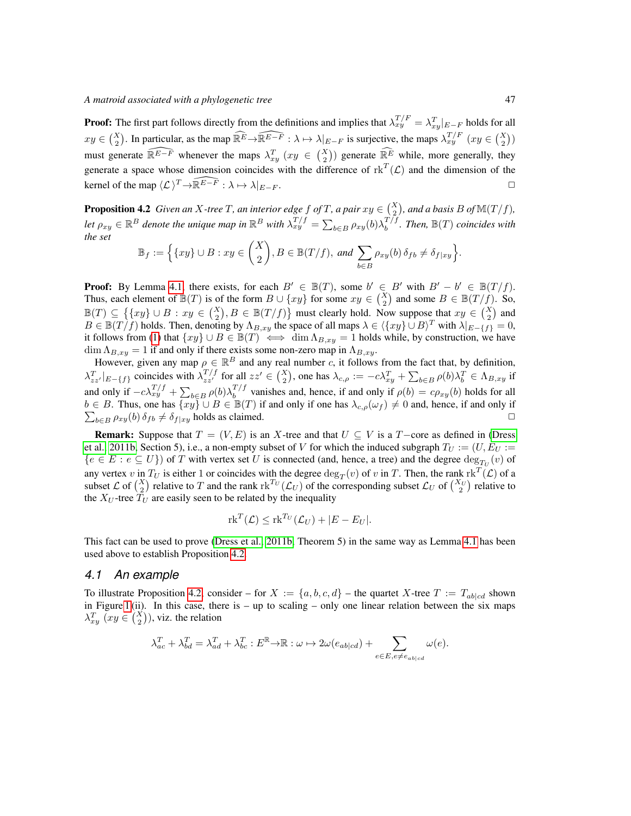**Proof:** The first part follows directly from the definitions and implies that  $\lambda_{xy}^{T/F} = \lambda_{xy}^T|_{E-F}$  holds for all  $xy \in {X \choose 2}$ . In particular, as the map  $\widehat{\mathbb{R}^E} \to \widehat{\mathbb{R}^{E-F}} : \lambda \mapsto \lambda|_{E-F}$  is surjective, the maps  $\lambda_{xy}^{T/F}(xy \in {X \choose 2})$ must generate  $\widehat{\mathbb{R}^{E-F}}$  whenever the maps  $\lambda_{xy}^T$   $(xy \in {X \choose 2})$  generate  $\widehat{\mathbb{R}^E}$  while, more generally, they generate a space whose dimension coincides with the difference of  $\text{rk}^T(\mathcal{L})$  and the dimension of the kernel of the map  $\langle \mathcal{L} \rangle^T \rightarrow \widehat{\mathbb{R}^{E-F}} : \lambda \mapsto \lambda|_{E-F}$ .

<span id="page-6-0"></span>**Proposition 4.2** *Given an X-tree* T, an interior edge f of T, a pair  $xy \in \binom{X}{2}$ , and a basis B of  $\mathbb{M}(T/f)$ , Let  $\rho_{xy} \in \mathbb{R}^B$  denote the unique map in  $\mathbb{R}^B$  with  $\lambda_{xy}^{T/f} = \sum_{b \in B} \rho_{xy}(b) \lambda_b^{T/f}$  $b^{T/f}$ *. Then,*  $\mathbb{B}(T)$  *coincides with the set*

$$
\mathbb{B}_f := \Big\{ \{ xy \} \cup B : xy \in \binom{X}{2}, B \in \mathbb{B}(T/f), \text{ and } \sum_{b \in B} \rho_{xy}(b) \, \delta_{fb} \neq \delta_{f|xy} \Big\}.
$$

**Proof:** By Lemma [4.1,](#page-5-0) there exists, for each  $B' \in \mathbb{B}(T)$ , some  $b' \in B'$  with  $B' - b' \in \mathbb{B}(T/f)$ . Thus, each element of  $\mathbb{B}(T)$  is of the form  $B \cup \{xy\}$  for some  $xy \in {X \choose 2}$  and some  $B \in \mathbb{B}(T/f)$ . So,  $\mathbb{B}(T) \subseteq \left\{ \{xy\} \cup B : xy \in {X \choose 2}, B \in \mathbb{B}(T/f) \right\}$  must clearly hold. Now suppose that  $xy \in {X \choose 2}$  and  $B \in \mathbb{B}(T/f)$  holds. Then, denoting by  $\Lambda_{B,xy}$  the space of all maps  $\lambda \in \langle \{xy\} \cup B \rangle^T$  with  $\lambda|_{E-\{f\}} = 0$ , it follows from [\(1\)](#page-5-1) that  $\{xy\} \cup B \in \mathbb{B}(T) \iff \dim \Lambda_{B,xy} = 1$  holds while, by construction, we have  $\dim \Lambda_{B,xy} = 1$  if and only if there exists some non-zero map in  $\Lambda_{B,xy}$ .

However, given any map  $\rho \in \mathbb{R}^B$  and any real number c, it follows from the fact that, by definition,  $\lambda_{zz'}^T|_{E-\{f\}}$  coincides with  $\lambda_{zz'}^{T/f}$  for all  $zz' \in {X \choose 2}$ , one has  $\lambda_{c,\rho} := -c\lambda_{xy}^T + \sum_{b \in B} \rho(b)\lambda_b^T \in \Lambda_{B,xy}$  if and only if  $-c\lambda_{xy}^{T/f} + \sum_{b \in B} \rho(b) \lambda_b^{T/f}$  $b^{1/3}$  vanishes and, hence, if and only if  $\rho(b) = c\rho_{xy}(b)$  holds for all  $b \in B$ . Thus, one has  $\overline{\{xy\}} \cup B \in \mathbb{B}(T)$  if and only if one has  $\lambda_{c,\rho}(\omega_f) \neq 0$  and, hence, if and only if  $\sum_{b \in B} \rho_{xy}(b) \, \delta_{fb} \neq \delta_{f|xy}$  holds as claimed.

**Remark:** Suppose that  $T = (V, E)$  is an X-tree and that  $U \subseteq V$  is a  $T$ -core as defined in [\(Dress](#page-14-1) [et al., 2011b,](#page-14-1) Section 5), i.e., a non-empty subset of V for which the induced subgraph  $T_U := (U, E_U)$  :=  ${e \in E : e \subseteq U}$  of T with vertex set U is connected (and, hence, a tree) and the degree  $\deg_{T_U}(v)$  of any vertex v in  $T_U$  is either 1 or coincides with the degree  $\deg_T(v)$  of v in T. Then, the rank  $\operatorname{rk}^T(\mathcal{L})$  of a subset  $\mathcal{L}$  of  $\binom{X}{2}$  relative to T and the rank  $\text{rk}^{T_U}(\mathcal{L}_U)$  of the corresponding subset  $\mathcal{L}_U$  of  $\binom{X_U}{2}$  relative to the  $X_U$ -tree  $\overline{T}_U$  are easily seen to be related by the inequality

$$
\mathrm{rk}^T(\mathcal{L}) \leq \mathrm{rk}^{T_U}(\mathcal{L}_U) + |E - E_U|.
$$

This fact can be used to prove [\(Dress et al., 2011b,](#page-14-1) Theorem 5) in the same way as Lemma [4.1](#page-5-0) has been used above to establish Proposition [4.2.](#page-6-0)

#### *4.1 An example*

To illustrate Proposition [4.2,](#page-6-0) consider – for  $X := \{a, b, c, d\}$  – the quartet X-tree  $T := T_{ab|cd}$  shown in Figure [1](#page-4-0) (ii). In this case, there is – up to scaling – only one linear relation between the six maps  $\lambda_{xy}^T$   $(xy \in {X \choose 2})$ , viz. the relation

$$
\lambda_{ac}^T + \lambda_{bd}^T = \lambda_{ad}^T + \lambda_{bc}^T : E^{\mathbb{R}} \to \mathbb{R} : \omega \mapsto 2\omega(e_{ab|cd}) + \sum_{e \in E, e \neq e_{ab|cd}} \omega(e).
$$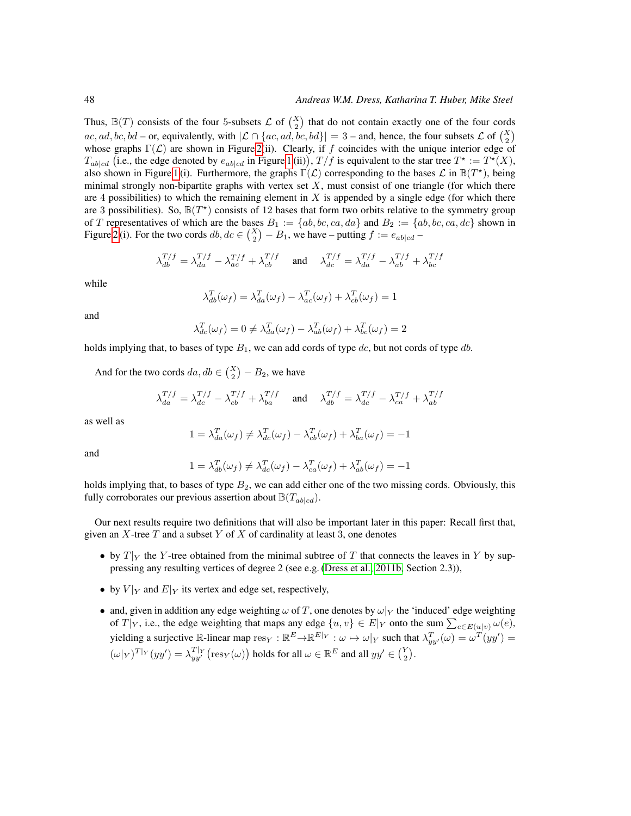Thus,  $\mathbb{B}(T)$  consists of the four 5-subsets  $\mathcal{L}$  of  $\binom{X}{2}$  that do not contain exactly one of the four cords ac, ad, bc, bd – or, equivalently, with  $|\mathcal{L} \cap \{ac, ad, bc, bd\}| = 3$  – and, hence, the four subsets  $\mathcal{L}$  of  $\binom{X}{2}$ whose graphs  $\Gamma(\mathcal{L})$  are shown in Figure [2\(](#page-8-0)ii). Clearly, if f coincides with the unique interior edge of  $T_{ab|cd}$  (i.e., the edge denoted by  $e_{ab|cd}$  in Figure [1](#page-4-0) (ii)),  $T/f$  is equivalent to the star tree  $T^* := T^*(X)$ , also shown in Figure [1](#page-4-0) (i). Furthermore, the graphs  $\Gamma(\mathcal{L})$  corresponding to the bases  $\mathcal{L}$  in  $\mathbb{B}(T^*)$ , being minimal strongly non-bipartite graphs with vertex set  $X$ , must consist of one triangle (for which there are 4 possibilities) to which the remaining element in  $X$  is appended by a single edge (for which there are 3 possibilities). So,  $\mathbb{B}(T^*)$  consists of 12 bases that form two orbits relative to the symmetry group of T representatives of which are the bases  $B_1 := \{ab, bc, ca, da\}$  and  $B_2 := \{ab, bc, ca, dc\}$  shown in Figure [2](#page-8-0) (i). For the two cords  $db, dc \in \binom{X}{2} - B_1$ , we have – putting  $f := e_{ab|cd}$  –

$$
\lambda_{db}^{T/f} = \lambda_{da}^{T/f} - \lambda_{ac}^{T/f} + \lambda_{cb}^{T/f} \quad \text{and} \quad \lambda_{dc}^{T/f} = \lambda_{da}^{T/f} - \lambda_{ab}^{T/f} + \lambda_{bc}^{T/f}
$$

while

$$
\lambda_{db}^T(\omega_f) = \lambda_{da}^T(\omega_f) - \lambda_{ac}^T(\omega_f) + \lambda_{cb}^T(\omega_f) = 1
$$

and

$$
\lambda_{dc}^T(\omega_f) = 0 \neq \lambda_{da}^T(\omega_f) - \lambda_{ab}^T(\omega_f) + \lambda_{bc}^T(\omega_f) = 2
$$

holds implying that, to bases of type  $B_1$ , we can add cords of type dc, but not cords of type db.

And for the two cords  $da, db \in \binom{X}{2} - B_2$ , we have

$$
\lambda_{da}^{T/f} = \lambda_{dc}^{T/f} - \lambda_{cb}^{T/f} + \lambda_{ba}^{T/f} \quad \text{and} \quad \lambda_{db}^{T/f} = \lambda_{dc}^{T/f} - \lambda_{ca}^{T/f} + \lambda_{ab}^{T/f}
$$

as well as

$$
1 = \lambda_{da}^T(\omega_f) \neq \lambda_{dc}^T(\omega_f) - \lambda_{cb}^T(\omega_f) + \lambda_{ba}^T(\omega_f) = -1
$$

and

$$
1 = \lambda_{db}^T(\omega_f) \neq \lambda_{dc}^T(\omega_f) - \lambda_{ca}^T(\omega_f) + \lambda_{ab}^T(\omega_f) = -1
$$

holds implying that, to bases of type  $B_2$ , we can add either one of the two missing cords. Obviously, this fully corroborates our previous assertion about  $\mathbb{B}(T_{ab|cd})$ .

Our next results require two definitions that will also be important later in this paper: Recall first that, given an  $X$ -tree  $T$  and a subset  $Y$  of  $X$  of cardinality at least 3, one denotes

- by  $T|_Y$  the Y-tree obtained from the minimal subtree of T that connects the leaves in Y by suppressing any resulting vertices of degree 2 (see e.g. [\(Dress et al., 2011b,](#page-14-1) Section 2.3)),
- by  $V|_Y$  and  $E|_Y$  its vertex and edge set, respectively,
- and, given in addition any edge weighting  $\omega$  of T, one denotes by  $\omega|_Y$  the 'induced' edge weighting of  $T|_Y$ , i.e., the edge weighting that maps any edge  $\{u, v\} \in E|_Y$  onto the sum  $\sum_{e \in E(u|v)} \omega(e)$ , yielding a surjective R-linear map  $res_Y : \mathbb{R}^E \to \mathbb{R}^{E|_Y} : \omega \mapsto \omega|_Y$  such that  $\lambda_{yy'}^T(\omega) = \omega^T(yy') =$  $(\omega|_Y)^{T|_Y}(yy') = \lambda_{yy'}^{T|_Y}(\text{res}_Y(\omega))$  holds for all  $\omega \in \mathbb{R}^E$  and all  $yy' \in \binom{Y}{2}$ .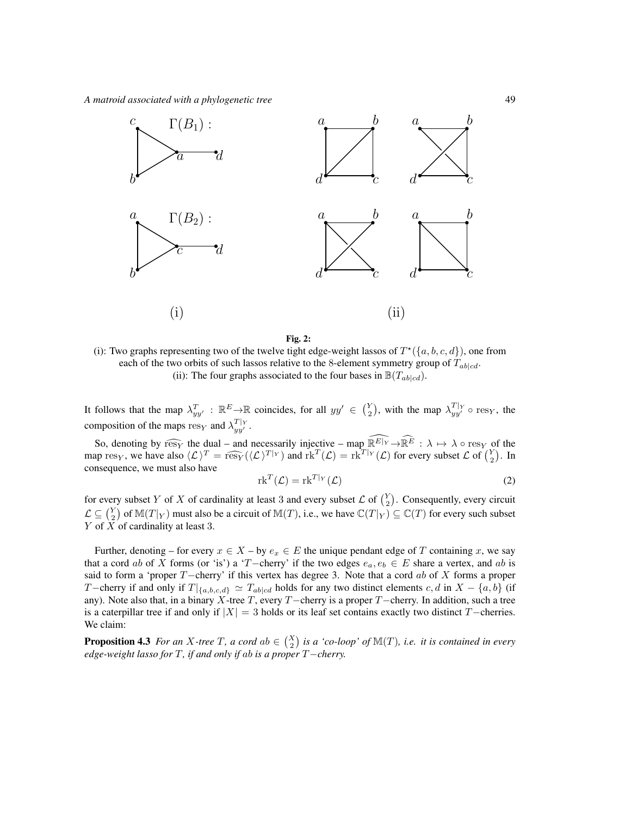*A matroid associated with a phylogenetic tree* 49



#### <span id="page-8-0"></span>Fig. 2:

(i): Two graphs representing two of the twelve tight edge-weight lassos of  $T^*(\{a, b, c, d\})$ , one from each of the two orbits of such lassos relative to the 8-element symmetry group of  $T_{ab|cd}$ . (ii): The four graphs associated to the four bases in  $\mathbb{B}(T_{\text{ab}}|_{cd})$ .

It follows that the map  $\lambda_{yy}^T$ :  $\mathbb{R}^E \to \mathbb{R}$  coincides, for all  $yy' \in \binom{Y}{2}$ , with the map  $\lambda_{yy'}^{T|_Y} \circ \text{res}_Y$ , the composition of the maps  $\text{res}_Y$  and  $\lambda_{yy'}^{T|_Y}$ .

So, denoting by  $\widehat{\text{res}_Y}$  the dual – and necessarily injective – map  $\widehat{\mathbb{R}^E|Y} \to \widehat{\mathbb{R}^E}$  :  $\lambda \mapsto \lambda \circ \text{res}_Y$  of the map res<sub>Y</sub>, we have also  $\langle \mathcal{L} \rangle^T = \widehat{\text{res}_{Y}}(\langle \mathcal{L} \rangle^{T}|Y)$  and  $\text{rk}^T(\mathcal{L}) = \text{rk}^{T}|Y(\mathcal{L})$  for every subset  $\mathcal{L}$  of  $\binom{Y}{2}$ . In consequence, we must also have

$$
\operatorname{rk}^T(\mathcal{L}) = \operatorname{rk}^{T|_{Y}}(\mathcal{L})
$$
\n(2)

for every subset Y of X of cardinality at least 3 and every subset  $\mathcal{L}$  of  $\binom{Y}{2}$ . Consequently, every circuit  $\mathcal{L} \subseteq {Y \choose 2}$  of  $\mathbb{M}(T|_{Y})$  must also be a circuit of  $\mathbb{M}(T)$ , i.e., we have  $\mathbb{C}(T|_{Y}) \subseteq \mathbb{C}(T)$  for every such subset Y of  $\overline{X}$  of cardinality at least 3.

Further, denoting – for every  $x \in X$  – by  $e_x \in E$  the unique pendant edge of T containing x, we say that a cord ab of X forms (or 'is') a 'T−cherry' if the two edges  $e_a, e_b \in E$  share a vertex, and ab is said to form a 'proper  $T$ −cherry' if this vertex has degree 3. Note that a cord ab of X forms a proper T−cherry if and only if  $T|_{\{a,b,c,d\}} \simeq T_{ab|cd}$  holds for any two distinct elements c, d in  $X - \{a,b\}$  (if any). Note also that, in a binary X-tree T, every T−cherry is a proper T−cherry. In addition, such a tree is a caterpillar tree if and only if  $|X| = 3$  holds or its leaf set contains exactly two distinct T−cherries. We claim:

**Proposition 4.3** For an X-tree T, a cord ab  $\in$   $\binom{X}{2}$  is a 'co-loop' of  $\mathbb{M}(T)$ , i.e. it is contained in every *edge-weight lasso for* T*, if and only if* ab *is a proper* T−*cherry.*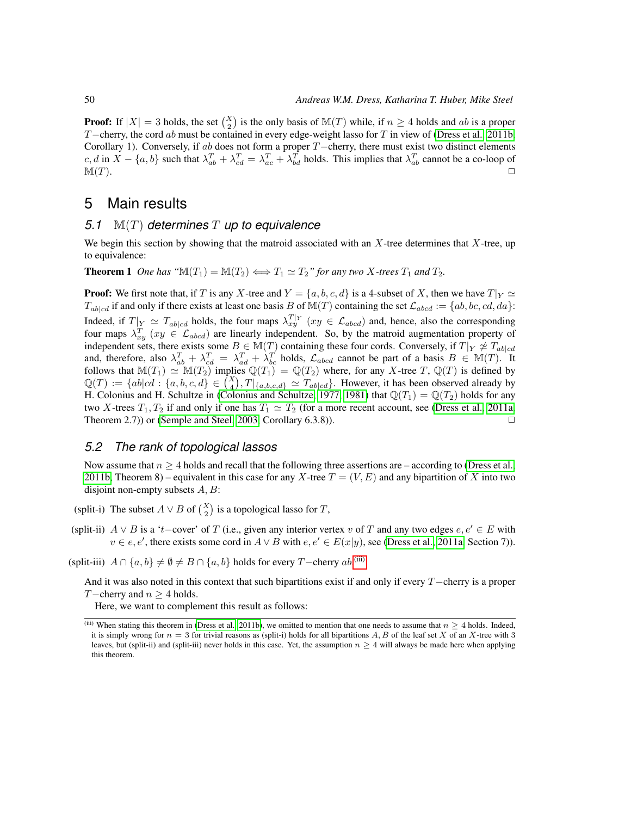**Proof:** If  $|X| = 3$  holds, the set  $\binom{X}{2}$  is the only basis of  $\mathbb{M}(T)$  while, if  $n \ge 4$  holds and ab is a proper T−cherry, the cord ab must be contained in every edge-weight lasso for T in view of [\(Dress et al., 2011b,](#page-14-1) Corollary 1). Conversely, if ab does not form a proper  $T$ −cherry, there must exist two distinct elements  $c, d$  in  $X - \{a, b\}$  such that  $\lambda_{ab}^T + \lambda_{cd}^T = \lambda_{ac}^T + \lambda_{bd}^T$  holds. This implies that  $\lambda_{ab}^T$  cannot be a co-loop of  $\mathbb{M}(T)$ .

## 5 Main results

#### *5.1* M(T) *determines* T *up to equivalence*

We begin this section by showing that the matroid associated with an  $X$ -tree determines that  $X$ -tree, up to equivalence:

**Theorem 1** *One has* " $\mathbb{M}(T_1) = \mathbb{M}(T_2) \Longleftrightarrow T_1 \simeq T_2$ " for any two X-trees  $T_1$  and  $T_2$ .

**Proof:** We first note that, if T is any X-tree and  $Y = \{a, b, c, d\}$  is a 4-subset of X, then we have  $T|_Y \simeq$  $T_{ab|cd}$  if and only if there exists at least one basis B of  $M(T)$  containing the set  $\mathcal{L}_{abcd} := \{ab, bc, cd, da\}$ : Indeed, if  $T|_Y \simeq T_{ab|cd}$  holds, the four maps  $\lambda_{xy}^{T|_Y}$  ( $xy \in \mathcal{L}_{abcd}$ ) and, hence, also the corresponding four maps  $\lambda_{xy}^T$  ( $xy \in \mathcal{L}_{abcd}$ ) are linearly independent. So, by the matroid augmentation property of independent sets, there exists some  $B \in M(T)$  containing these four cords. Conversely, if  $T|_Y \not\cong T_{ab|cd}$ and, therefore, also  $\lambda_{ab}^T + \lambda_{cd}^T = \lambda_{ad}^T + \lambda_{bc}^T$  holds,  $\mathcal{L}_{abcd}$  cannot be part of a basis  $B \in M(T)$ . It follows that  $\mathbb{M}(T_1) \simeq \mathbb{M}(T_2)$  implies  $\mathbb{Q}(T_1) = \mathbb{Q}(T_2)$  where, for any X-tree T,  $\mathbb{Q}(T)$  is defined by  $\mathbb{Q}(T) := \{ab|cd : \{a,b,c,d\} \in \binom{X}{4}, T|_{\{a,b,c,d\}} \simeq T_{ab|cd}\}.$  However, it has been observed already by H. Colonius and H. Schultze in [\(Colonius and Schultze, 1977,](#page-14-4) [1981\)](#page-14-5) that  $\mathbb{Q}(T_1) = \mathbb{Q}(T_2)$  holds for any two X-trees  $T_1, T_2$  if and only if one has  $T_1 \simeq T_2$  (for a more recent account, see [\(Dress et al., 2011a,](#page-14-6) Theorem 2.7)) or [\(Semple and Steel, 2003,](#page-14-7) Corollary 6.3.8)).  $\Box$ 

#### <span id="page-9-2"></span>*5.2 The rank of topological lassos*

Now assume that  $n \geq 4$  holds and recall that the following three assertions are – according to [\(Dress et al.,](#page-14-1) [2011b,](#page-14-1) Theorem 8) – equivalent in this case for any X-tree  $T = (V, E)$  and any bipartition of X into two disjoint non-empty subsets  $A, B$ :

(split-i) The subset  $A \vee B$  of  $\binom{X}{2}$  is a topological lasso for T,

(split-ii)  $A \vee B$  is a 't−cover' of T (i.e., given any interior vertex v of T and any two edges  $e, e' \in E$  with  $v \in e, e'$ , there exists some cord in  $A \vee B$  with  $e, e' \in E(x|y)$ , see [\(Dress et al., 2011a,](#page-14-6) Section 7)).

(split-iii)  $A \cap \{a, b\} \neq \emptyset \neq B \cap \{a, b\}$  holds for every T−cherry  $ab$ .<sup>[\(iii\)](#page-9-0)</sup>

And it was also noted in this context that such bipartitions exist if and only if every  $T$ −cherry is a proper T−cherry and  $n \geq 4$  holds.

Here, we want to complement this result as follows:

<span id="page-9-1"></span><span id="page-9-0"></span><sup>(</sup>iii) When stating this theorem in [\(Dress et al., 2011b\)](#page-14-1), we omitted to mention that one needs to assume that  $n \geq 4$  holds. Indeed, it is simply wrong for  $n = 3$  for trivial reasons as (split-i) holds for all bipartitions A, B of the leaf set X of an X-tree with 3 leaves, but (split-ii) and (split-iii) never holds in this case. Yet, the assumption  $n > 4$  will always be made here when applying this theorem.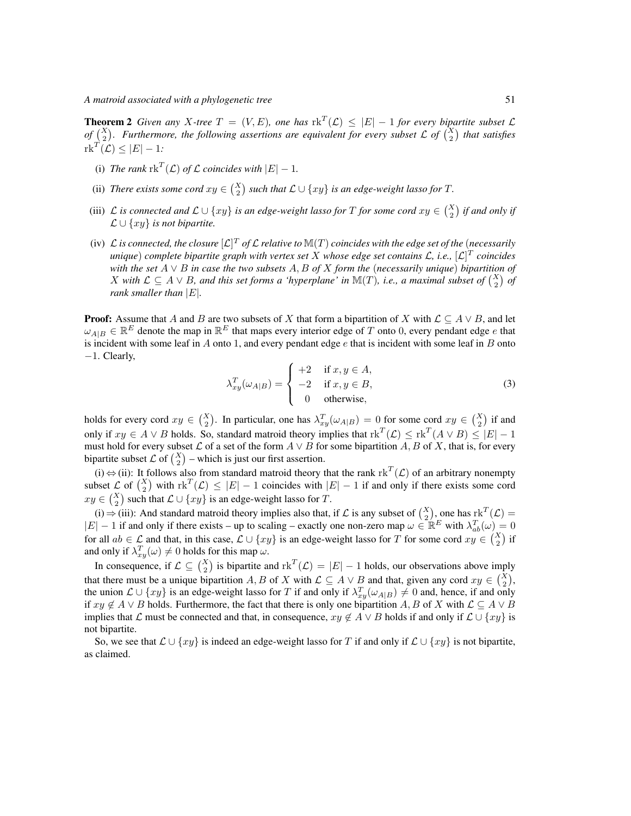**Theorem 2** Given any X-tree  $T = (V, E)$ , one has  $\text{rk}^T(\mathcal{L}) \leq |E| - 1$  for every bipartite subset  $\mathcal{L}$ *of*  $\binom{X}{2}$ . Furthermore, the following assertions are equivalent for every subset L of  $\binom{X}{2}$  that satisfies  $\mathrm{rk}^T(\mathcal{L}) \leq |E|-1$ :

- (i) *The rank*  $\text{rk}^T(\mathcal{L})$  *of*  $\mathcal{L}$  *coincides with*  $|E| 1$ *.*
- (ii) *There exists some cord*  $xy \in {X \choose 2}$  such that  $\mathcal{L} \cup \{xy\}$  is an edge-weight lasso for T.
- (iii) L is connected and  $\mathcal{L} \cup \{xy\}$  is an edge-weight lasso for T for some cord  $xy \in {X \choose 2}$  if and only if  $\mathcal{L} \cup \{xy\}$  *is not bipartite.*
- (iv) L is connected, the closure  $[\mathcal{L}]^T$  of L relative to  $\mathbb{M}(T)$  coincides with the edge set of the (*necessarily unique*) *complete bipartite graph with vertex set* X *whose edge set contains* L*, i.e.,* [L] T *coincides with the set* A ∨ B *in case the two subsets* A, B *of* X *form the* (*necessarily unique*) *bipartition of X* with  $\mathcal{L} \subseteq A \vee B$ , and this set forms a 'hyperplane' in  $\mathbb{M}(T)$ , i.e., a maximal subset of  $\binom{X}{2}$  of *rank smaller than* |E|*.*

**Proof:** Assume that A and B are two subsets of X that form a bipartition of X with  $\mathcal{L} \subseteq A \vee B$ , and let  $\omega_{A|B} \in \mathbb{R}^E$  denote the map in  $\mathbb{R}^E$  that maps every interior edge of T onto 0, every pendant edge e that is incident with some leaf in  $A$  onto 1, and every pendant edge  $e$  that is incident with some leaf in  $B$  onto −1. Clearly,

$$
\lambda_{xy}^T(\omega_{A|B}) = \begin{cases}\n+2 & \text{if } x, y \in A, \\
-2 & \text{if } x, y \in B, \\
0 & \text{otherwise,} \n\end{cases}
$$
\n(3)

holds for every cord  $xy \in {X \choose 2}$ . In particular, one has  $\lambda_{xy}^T(\omega_{A|B}) = 0$  for some cord  $xy \in {X \choose 2}$  if and only if  $xy \in A \vee B$  holds. So, standard matroid theory implies that  $\text{rk}^T(\mathcal{L}) \leq \text{rk}^T(A \vee B) \leq |E| - 1$ must hold for every subset  $\mathcal L$  of a set of the form  $A \lor B$  for some bipartition  $A, B$  of  $X$ , that is, for every bipartite subset  $\mathcal{L}$  of  $\binom{X}{2}$  – which is just our first assertion.

(i)  $\Leftrightarrow$  (ii): It follows also from standard matroid theory that the rank rk<sup>T</sup>( $\mathcal{L}$ ) of an arbitrary nonempty subset  $\mathcal{L}$  of  $\binom{X}{2}$  with  $\text{rk}^T(\mathcal{L}) \leq |E| - 1$  coincides with  $|E| - 1$  if and only if there exists some cord  $xy \in {X \choose 2}$  such that  $\mathcal{L} \cup \{xy\}$  is an edge-weight lasso for T.

(i) ⇒ (iii): And standard matroid theory implies also that, if L is any subset of  $\binom{X}{2}$ , one has  $\mathrm{rk}^T(\mathcal{L}) =$  $|E| - 1$  if and only if there exists – up to scaling – exactly one non-zero map  $\omega \in \mathbb{R}^E$  with  $\lambda_{ab}^T(\omega) = 0$ for all  $ab \in \mathcal{L}$  and that, in this case,  $\mathcal{L} \cup \{xy\}$  is an edge-weight lasso for T for some cord  $xy \in {X \choose 2}$  if and only if  $\lambda_{xy}^T(\omega) \neq 0$  holds for this map  $\omega$ .

In consequence, if  $\mathcal{L} \subseteq {X \choose 2}$  is bipartite and  $\text{rk}^T(\mathcal{L}) = |E| - 1$  holds, our observations above imply that there must be a unique bipartition A, B of X with  $\mathcal{L} \subseteq A \vee B$  and that, given any cord  $xy \in {X \choose 2}$ , the union  $\mathcal{L} \cup \{xy\}$  is an edge-weight lasso for T if and only if  $\lambda_{xy}^T(\omega_{A|B}) \neq 0$  and, hence, if and only if  $xy \notin A \vee B$  holds. Furthermore, the fact that there is only one bipartition A, B of X with  $\mathcal{L} \subseteq A \vee B$ implies that L must be connected and that, in consequence,  $xy \notin A \vee B$  holds if and only if  $\mathcal{L} \cup \{xy\}$  is not bipartite.

So, we see that  $\mathcal{L} \cup \{xy\}$  is indeed an edge-weight lasso for T if and only if  $\mathcal{L} \cup \{xy\}$  is not bipartite, as claimed.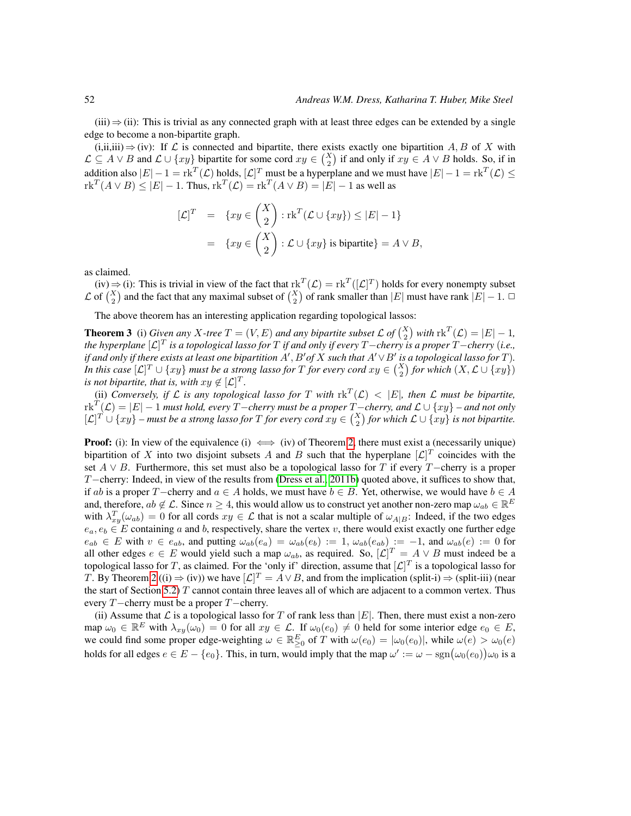$(iii) \Rightarrow (ii)$ : This is trivial as any connected graph with at least three edges can be extended by a single edge to become a non-bipartite graph.

 $(i, ii, iii) \Rightarrow (iv)$ : If  $\mathcal L$  is connected and bipartite, there exists exactly one bipartition A, B of X with  $\mathcal{L} \subseteq A \vee B$  and  $\mathcal{L} \cup \{xy\}$  bipartite for some cord  $xy \in {X \choose 2}$  if and only if  $xy \in A \vee B$  holds. So, if in addition also  $|E| - 1 = \text{rk}^T(\mathcal{L})$  holds,  $[\mathcal{L}]^T$  must be a hyperplane and we must have  $|E| - 1 = \text{rk}^T(\mathcal{L}) \le$  $\text{rk}^T(A \vee B) \leq |E| - 1$ . Thus,  $\text{rk}^T(\mathcal{L}) = \text{rk}^T(A \vee B) = |E| - 1$  as well as

$$
[\mathcal{L}]^T = \{ xy \in \binom{X}{2} : \text{rk}^T (\mathcal{L} \cup \{ xy \}) \leq |E| - 1 \}
$$
  
= 
$$
\{ xy \in \binom{X}{2} : \mathcal{L} \cup \{ xy \} \text{ is bipartite} \} = A \vee B,
$$

as claimed.

 $(iv) \Rightarrow (i)$ : This is trivial in view of the fact that  $\operatorname{rk}^T(\mathcal{L}) = \operatorname{rk}^T([\mathcal{L}]^T)$  holds for every nonempty subset  $\mathcal L$  of  $\binom{X}{2}$  and the fact that any maximal subset of  $\binom{X}{2}$  of rank smaller than  $|E|$  must have rank  $|E|-1$ .  $\Box$ 

The above theorem has an interesting application regarding topological lassos:

**Theorem 3** (i) *Given any* X-tree  $T = (V, E)$  *and any bipartite subset*  $\mathcal{L}$  *of*  $\binom{X}{2}$  *with*  $\text{rk}^T(\mathcal{L}) = |E| - 1$ *, the hyperplane* [L] T *is a topological lasso for* T *if and only if every* T−*cherry is a proper* T−*cherry* (*i.e., if and only if there exists at least one bipartition*  $A', B'$  *of*  $X$  *such that*  $A' \vee B'$  *is a topological lasso for*  $T$ *). In this case*  $[\mathcal{L}]^T \cup \{xy\}$  *must be a strong lasso for*  $T$  *for every cord*  $xy \in {X \choose 2}$  *for which*  $(X, \mathcal{L} \cup \{xy\})$ *is not bipartite, that is, with*  $xy \notin [\mathcal{L}]^T$ *.* 

(ii) *Conversely, if*  $\mathcal L$  *is any topological lasso for*  $T$  *with*  $\text{rk}^T(\mathcal L) < |E|$ *, then*  $\mathcal L$  *must be bipartite,*  $\text{Tr}(\mathcal{F}(\mathcal{L}) = |E| - 1$  *must hold, every*  $T$ −*cherry must be a proper*  $T$ −*cherry, and*  $\mathcal{L} \cup \{xy\}$  – *and not only*  $[\mathcal{L}]^T \cup \{xy\}$  – must be a strong lasso for T for every cord  $xy \in {X \choose 2}$  for which  $\mathcal{L} \cup \{xy\}$  is not bipartite.

**Proof:** (i): In view of the equivalence (i)  $\iff$  (iv) of Theorem [2,](#page-9-1) there must exist a (necessarily unique) bipartition of X into two disjoint subsets A and B such that the hyperplane  $[\mathcal{L}]^T$  coincides with the set  $A \vee B$ . Furthermore, this set must also be a topological lasso for T if every T−cherry is a proper T−cherry: Indeed, in view of the results from [\(Dress et al., 2011b\)](#page-14-1) quoted above, it suffices to show that, if ab is a proper T−cherry and  $a \in A$  holds, we must have  $b \in B$ . Yet, otherwise, we would have  $b \in A$ and, therefore,  $ab \notin \mathcal{L}$ . Since  $n \geq 4$ , this would allow us to construct yet another non-zero map  $\omega_{ab} \in \mathbb{R}^E$ with  $\lambda_{xy}^T(\omega_{ab}) = 0$  for all cords  $xy \in \mathcal{L}$  that is not a scalar multiple of  $\omega_{A|B}$ : Indeed, if the two edges  $e_a, e_b \in E$  containing a and b, respectively, share the vertex v, there would exist exactly one further edge  $e_{ab} \in E$  with  $v \in e_{ab}$ , and putting  $\omega_{ab}(e_a) = \omega_{ab}(e_b) := 1$ ,  $\omega_{ab}(e_{ab}) := -1$ , and  $\omega_{ab}(e) := 0$  for all other edges  $e \in E$  would yield such a map  $\omega_{ab}$ , as required. So,  $[\mathcal{L}]^T = A \vee B$  must indeed be a topological lasso for T, as claimed. For the 'only if' direction, assume that  $[\mathcal{L}]^T$  is a topological lasso for T. By Theorem [2](#page-9-1) ((i)  $\Rightarrow$  (iv)) we have  $[\mathcal{L}]^T = A \vee B$ , and from the implication (split-i)  $\Rightarrow$  (split-iii) (near the start of Section [5.2\)](#page-9-2)  $T$  cannot contain three leaves all of which are adjacent to a common vertex. Thus every T−cherry must be a proper T−cherry.

(ii) Assume that  $\mathcal L$  is a topological lasso for T of rank less than  $|E|$ . Then, there must exist a non-zero map  $\omega_0 \in \mathbb{R}^E$  with  $\lambda_{xy}(\omega_0) = 0$  for all  $xy \in \mathcal{L}$ . If  $\omega_0(e_0) \neq 0$  held for some interior edge  $e_0 \in E$ , we could find some proper edge-weighting  $\omega \in \mathbb{R}_{\geq 0}^E$  of T with  $\omega(e_0) = |\omega_0(e_0)|$ , while  $\omega(e) > \omega_0(e)$ holds for all edges  $e \in E - \{e_0\}$ . This, in turn, would imply that the map  $\omega' := \omega - \text{sgn}(\omega_0(e_0))\omega_0$  is a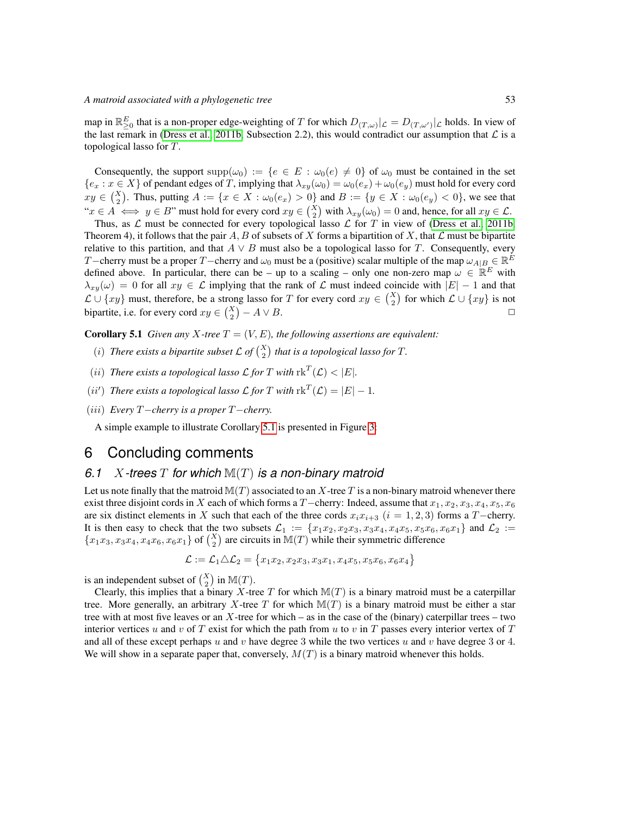map in  $\mathbb{R}_{\geq 0}^E$  that is a non-proper edge-weighting of T for which  $D_{(T,\omega)}|_{\mathcal{L}} = D_{(T,\omega')}|_{\mathcal{L}}$  holds. In view of the last remark in [\(Dress et al., 2011b,](#page-14-1) Subsection 2.2), this would contradict our assumption that  $\mathcal L$  is a topological lasso for T.

Consequently, the support supp $(\omega_0) := \{e \in E : \omega_0(e) \neq 0\}$  of  $\omega_0$  must be contained in the set  ${e_x : x \in X}$  of pendant edges of T, implying that  $\lambda_{xy}(\omega_0) = \omega_0(e_x) + \omega_0(e_y)$  must hold for every cord  $xy \in {X \choose 2}$ . Thus, putting  $A := \{x \in X : \omega_0(e_x) > 0\}$  and  $B := \{y \in X : \omega_0(e_y) < 0\}$ , we see that " $x \in A \iff y \in B$ " must hold for every cord  $xy \in {X \choose 2}$  with  $\lambda_{xy}(\omega_0) = 0$  and, hence, for all  $xy \in \mathcal{L}$ .

Thus, as  $\mathcal L$  must be connected for every topological lasso  $\mathcal L$  for T in view of [\(Dress et al., 2011b,](#page-14-1) Theorem 4), it follows that the pair A, B of subsets of X forms a bipartition of X, that  $\mathcal L$  must be bipartite relative to this partition, and that  $A \vee B$  must also be a topological lasso for T. Consequently, every T−cherry must be a proper T−cherry and  $\omega_0$  must be a (positive) scalar multiple of the map  $\omega_{A|B} \in \mathbb{R}^E$ defined above. In particular, there can be – up to a scaling – only one non-zero map  $\omega \in \mathbb{R}^E$  with  $\lambda_{xy}(\omega) = 0$  for all  $xy \in \mathcal{L}$  implying that the rank of  $\mathcal{L}$  must indeed coincide with  $|E| - 1$  and that  $\mathcal{L} \cup \{xy\}$  must, therefore, be a strong lasso for T for every cord  $xy \in {X \choose 2}$  for which  $\mathcal{L} \cup \{xy\}$  is not bipartite, i.e. for every cord  $xy \in {X \choose 2} - A \vee B$ .

<span id="page-12-0"></span>**Corollary 5.1** *Given any X-tree*  $T = (V, E)$ *, the following assertions are equivalent:* 

- (*i*) There exists a bipartite subset  $\mathcal{L}$  of  $\binom{X}{2}$  that is a topological lasso for T.
- (*ii*) *There exists a topological lasso*  $\mathcal{L}$  *for T with*  $\text{rk}^T(\mathcal{L}) < |E|$ *.*
- (*ii'*) *There exists a topological lasso*  $\mathcal{L}$  *<i>for*  $T$  *with*  $\text{rk}^T(\mathcal{L}) = |E| 1$ *.*
- (iii) *Every* T−*cherry is a proper* T−*cherry.*

A simple example to illustrate Corollary [5.1](#page-12-0) is presented in Figure [3:](#page-13-0)

## 6 Concluding comments

#### *6.1* X*-trees* T *for which* M(T) *is a non-binary matroid*

Let us note finally that the matroid  $\mathbb{M}(T)$  associated to an X-tree T is a non-binary matroid whenever there exist three disjoint cords in X each of which forms a T−cherry: Indeed, assume that  $x_1, x_2, x_3, x_4, x_5, x_6$ are six distinct elements in X such that each of the three cords  $x_ix_{i+3}$  ( $i = 1, 2, 3$ ) forms a T−cherry. It is then easy to check that the two subsets  $\mathcal{L}_1 := \{x_1x_2, x_2x_3, x_3x_4, x_4x_5, x_5x_6, x_6x_1\}$  and  $\mathcal{L}_2 :=$  ${x_1x_3, x_3x_4, x_4x_6, x_6x_1}$  of  $\binom{X}{2}$  are circuits in  $\mathbb{M}(T)$  while their symmetric difference

$$
\mathcal{L} := \mathcal{L}_1 \triangle \mathcal{L}_2 = \{x_1x_2, x_2x_3, x_3x_1, x_4x_5, x_5x_6, x_6x_4\}
$$

is an independent subset of  $\binom{X}{2}$  in  $\mathbb{M}(T)$ .

Clearly, this implies that a binary X-tree T for which  $\mathbb{M}(T)$  is a binary matroid must be a caterpillar tree. More generally, an arbitrary X-tree T for which  $\mathbb{M}(T)$  is a binary matroid must be either a star tree with at most five leaves or an  $X$ -tree for which – as in the case of the (binary) caterpillar trees – two interior vertices u and v of T exist for which the path from u to v in T passes every interior vertex of T and all of these except perhaps u and v have degree 3 while the two vertices u and v have degree 3 or 4. We will show in a separate paper that, conversely,  $M(T)$  is a binary matroid whenever this holds.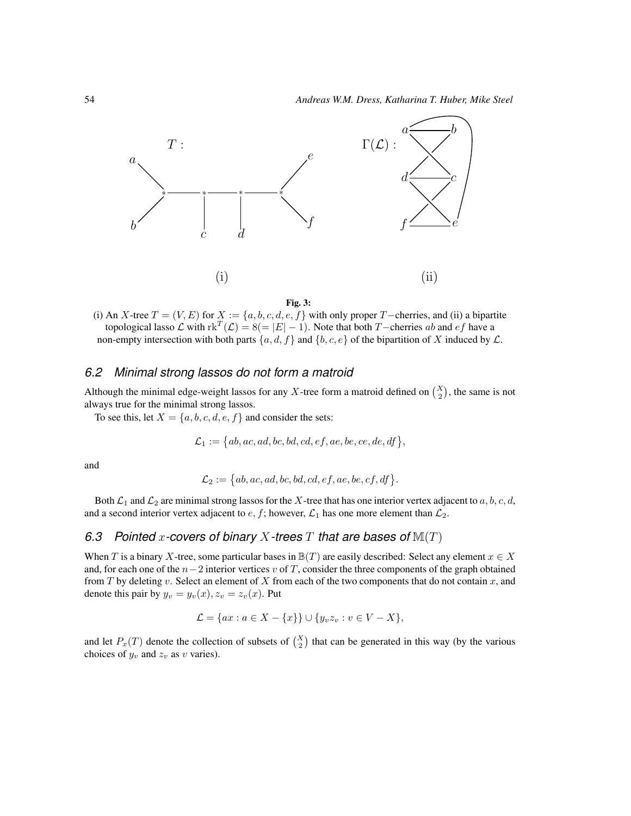

#### <span id="page-13-0"></span>Fig. 3:

(i) An X-tree  $T = (V, E)$  for  $X := \{a, b, c, d, e, f\}$  with only proper T−cherries, and (ii) a bipartite topological lasso  $\mathcal L$  with  $\text{rk}^T(\mathcal L) = 8 (= |E| - 1)$ . Note that both T−cherries ab and ef have a non-empty intersection with both parts  $\{a, d, f\}$  and  $\{b, c, e\}$  of the bipartition of X induced by  $\mathcal{L}$ .

#### *6.2 Minimal strong lassos do not form a matroid*

Although the minimal edge-weight lassos for any X-tree form a matroid defined on  $\binom{X}{2}$ , the same is not always true for the minimal strong lassos.

To see this, let  $X = \{a, b, c, d, e, f\}$  and consider the sets:

$$
\mathcal{L}_1:=\big\{ab,ac,ad,bc,bd,cd,ef,ae,be,ce,de,df\big\},
$$

and

$$
\mathcal{L}_2 := \{ab, ac, ad, bc, bd, cd, ef, ae, be, cf, df\}.
$$

Both  $\mathcal{L}_1$  and  $\mathcal{L}_2$  are minimal strong lassos for the X-tree that has one interior vertex adjacent to a, b, c, d, and a second interior vertex adjacent to  $e, f$ ; however,  $\mathcal{L}_1$  has one more element than  $\mathcal{L}_2$ .

# *6.3 Pointed* x*-covers of binary* X*-trees* T *that are bases of* M(T)

When T is a binary X-tree, some particular bases in  $\mathbb{B}(T)$  are easily described: Select any element  $x \in X$ and, for each one of the  $n-2$  interior vertices v of T, consider the three components of the graph obtained from T by deleting v. Select an element of X from each of the two components that do not contain x, and denote this pair by  $y_v = y_v(x)$ ,  $z_v = z_v(x)$ . Put

$$
\mathcal{L} = \{ax : a \in X - \{x\}\} \cup \{y_v z_v : v \in V - X\},\
$$

and let  $P_x(T)$  denote the collection of subsets of  $\binom{X}{2}$  that can be generated in this way (by the various choices of  $y_v$  and  $z_v$  as v varies).